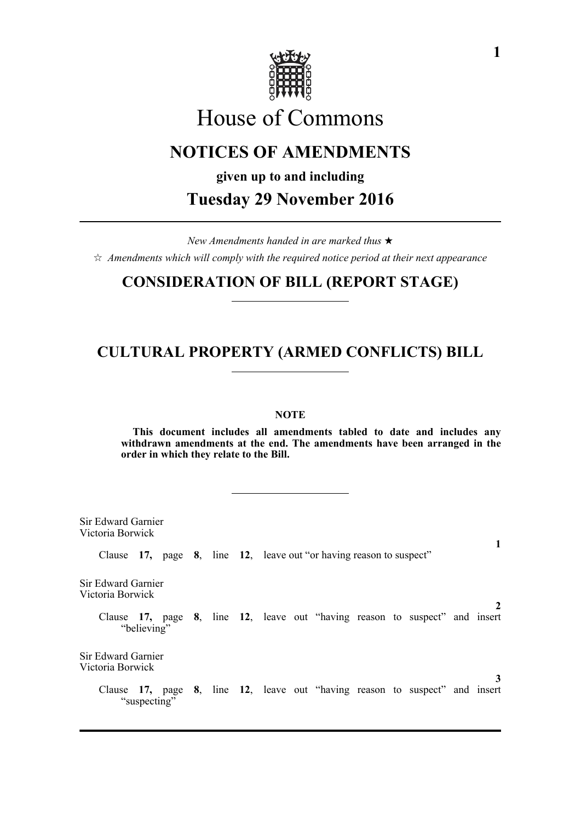

# House of Commons

# **NOTICES OF AMENDMENTS**

**given up to and including**

**Tuesday 29 November 2016**

*New Amendments handed in are marked thus*   $\hat{\varphi}$  Amendments which will comply with the required notice period at their next appearance

### **CONSIDERATION OF BILL (REPORT STAGE)**

# **CULTURAL PROPERTY (ARMED CONFLICTS) BILL**

### **NOTE**

**This document includes all amendments tabled to date and includes any withdrawn amendments at the end. The amendments have been arranged in the order in which they relate to the Bill.**

Sir Edward Garnier Victoria Borwick **1** Clause **17,** page **8**, line **12**, leave out "or having reason to suspect" Sir Edward Garnier Victoria Borwick **2** Clause **17,** page **8**, line **12**, leave out "having reason to suspect" and insert "believing" Sir Edward Garnier Victoria Borwick **3** Clause **17,** page **8**, line **12**, leave out "having reason to suspect" and insert "suspecting"